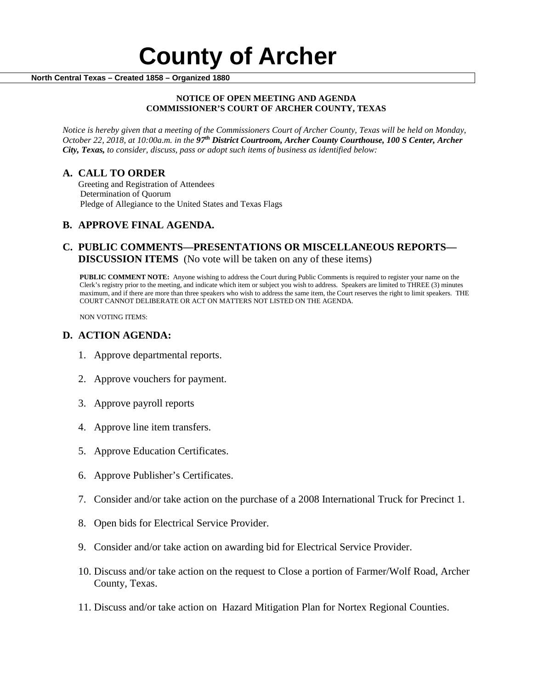#### **NOTICE OF OPEN MEETING AND AGENDA COMMISSIONER'S COURT OF ARCHER COUNTY, TEXAS**

*Notice is hereby given that a meeting of the Commissioners Court of Archer County, Texas will be held on Monday, October 22, 2018, at 10:00a.m. in the 97th District Courtroom, Archer County Courthouse, 100 S Center, Archer City, Texas, to consider, discuss, pass or adopt such items of business as identified below:*

**A. CALL TO ORDER** Greeting and Registration of Attendees Determination of Quorum Pledge of Allegiance to the United States and Texas Flags

# **B. APPROVE FINAL AGENDA.**

# **C. PUBLIC COMMENTS—PRESENTATIONS OR MISCELLANEOUS REPORTS— DISCUSSION ITEMS** (No vote will be taken on any of these items)

**PUBLIC COMMENT NOTE:** Anyone wishing to address the Court during Public Comments is required to register your name on the Clerk's registry prior to the meeting, and indicate which item or subject you wish to address. Speakers are limited to THREE (3) minutes maximum, and if there are more than three speakers who wish to address the same item, the Court reserves the right to limit speakers. THE COURT CANNOT DELIBERATE OR ACT ON MATTERS NOT LISTED ON THE AGENDA.

NON VOTING ITEMS:

### **D. ACTION AGENDA:**

- 1. Approve departmental reports.
- 2. Approve vouchers for payment.
- 3. Approve payroll reports
- 4. Approve line item transfers.
- 5. Approve Education Certificates.
- 6. Approve Publisher's Certificates.
- 7. Consider and/or take action on the purchase of a 2008 International Truck for Precinct 1.
- 8. Open bids for Electrical Service Provider.
- 9. Consider and/or take action on awarding bid for Electrical Service Provider.
- 10. Discuss and/or take action on the request to Close a portion of Farmer/Wolf Road, Archer County, Texas.
- 11. Discuss and/or take action on Hazard Mitigation Plan for Nortex Regional Counties.